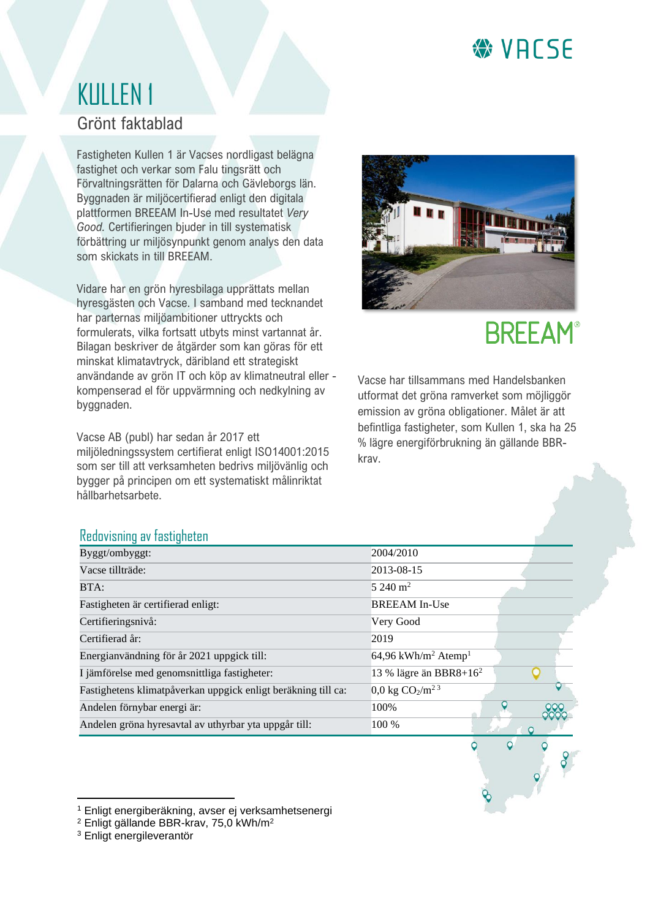### **₩VACSE**

### KULLEN 1 Grönt faktablad

Fastigheten Kullen 1 är Vacses nordligast belägna fastighet och verkar som Falu tingsrätt och Förvaltningsrätten för Dalarna och Gävleborgs län. Byggnaden är miljöcertifierad enligt den digitala plattformen BREEAM In-Use med resultatet *Very Good.* Certifieringen bjuder in till systematisk förbättring ur miljösynpunkt genom analys den data som skickats in till BREEAM.

Vidare har en grön hyresbilaga upprättats mellan hyresgästen och Vacse. I samband med tecknandet har parternas miljöambitioner uttryckts och formulerats, vilka fortsatt utbyts minst vartannat år. Bilagan beskriver de åtgärder som kan göras för ett minskat klimatavtryck, däribland ett strategiskt användande av grön IT och köp av klimatneutral eller kompenserad el för uppvärmning och nedkylning av byggnaden.

Vacse AB (publ) har sedan år 2017 ett miljöledningssystem certifierat enligt ISO14001:2015 som ser till att verksamheten bedrivs miljövänlig och bygger på principen om ett systematiskt målinriktat hållbarhetsarbete.



## **BREEAM®**

Vacse har tillsammans med Handelsbanken utformat det gröna ramverket som möjliggör emission av gröna obligationer. Målet är att befintliga fastigheter, som Kullen 1, ska ha 25 % lägre energiförbrukning än gällande BBRkrav.

#### Redovisning av fastigheten

| Byggt/ombyggt:                                                | 2004/2010                                   |
|---------------------------------------------------------------|---------------------------------------------|
| Vacse tillträde:                                              | 2013-08-15                                  |
| BTA:                                                          | $5240 \text{ m}^2$                          |
| Fastigheten är certifierad enligt:                            | <b>BREEAM</b> In-Use                        |
| Certifieringsnivå:                                            | Very Good                                   |
| Certifierad år:                                               | 2019                                        |
| Energianvändning för år 2021 uppgick till:                    | 64,96 kWh/m <sup>2</sup> Atemp <sup>1</sup> |
| I jämförelse med genomsnittliga fastigheter:                  | 13 % lägre än BBR8+ $162$                   |
| Fastighetens klimatpåverkan uppgick enligt beräkning till ca: | $0.0 \text{ kg } CO_2/m^2$ <sup>3</sup>     |
| Andelen förnybar energi är:                                   | 100%                                        |
| Andelen gröna hyresavtal av uthyrbar yta uppgår till:         | 100 %                                       |
|                                                               |                                             |

<sup>1</sup> Enligt energiberäkning, avser ej verksamhetsenergi

<sup>2</sup> Enligt gällande BBR-krav, 75,0 kWh/m<sup>2</sup>

<sup>3</sup> Enligt energileverantör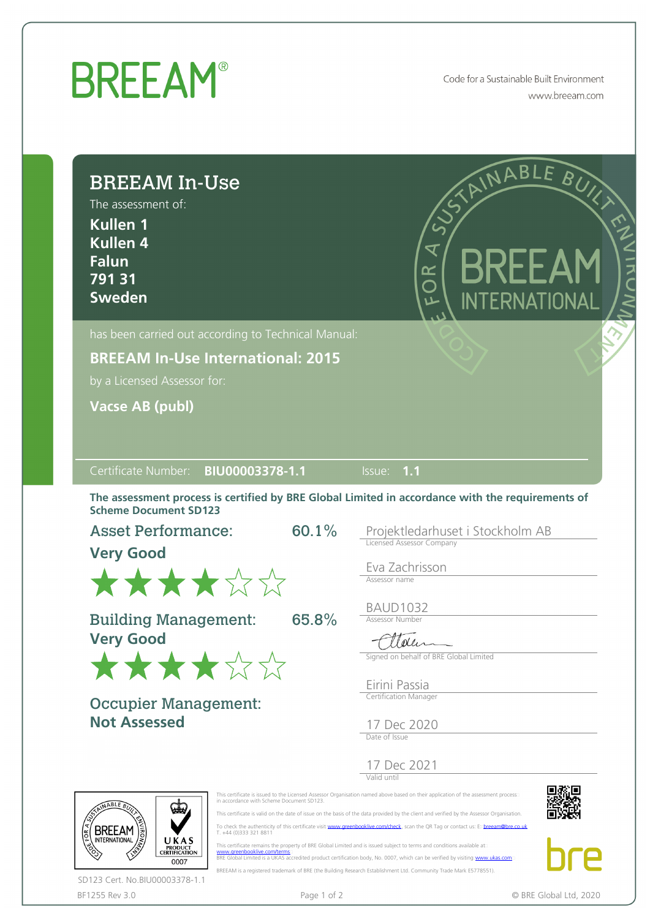## **BREEAM®**

Code for a Sustainable Built Environment www.breeam.com

| <b>BREEAM In-Use</b><br>The assessment of:<br><b>Kullen 1</b><br><b>Kullen 4</b><br><b>Falun</b><br>79131<br><b>Sweden</b>                                                                           | RIAINABLE BUYS<br>BREEAM<br>$\overline{z}$<br>FOR<br>INTERNATIONAL                                                                                                                                                                                                                                                                                                                                                                                                                                                  |
|------------------------------------------------------------------------------------------------------------------------------------------------------------------------------------------------------|---------------------------------------------------------------------------------------------------------------------------------------------------------------------------------------------------------------------------------------------------------------------------------------------------------------------------------------------------------------------------------------------------------------------------------------------------------------------------------------------------------------------|
| has been carried out according to Technical Manual:                                                                                                                                                  |                                                                                                                                                                                                                                                                                                                                                                                                                                                                                                                     |
| <b>BREEAM In-Use International: 2015</b>                                                                                                                                                             |                                                                                                                                                                                                                                                                                                                                                                                                                                                                                                                     |
| by a Licensed Assessor for:                                                                                                                                                                          |                                                                                                                                                                                                                                                                                                                                                                                                                                                                                                                     |
| <b>Vacse AB (publ)</b>                                                                                                                                                                               |                                                                                                                                                                                                                                                                                                                                                                                                                                                                                                                     |
|                                                                                                                                                                                                      |                                                                                                                                                                                                                                                                                                                                                                                                                                                                                                                     |
| Certificate Number: BIU00003378-1.1                                                                                                                                                                  | $\overline{\mathsf{lls}}$ ue: 1.1                                                                                                                                                                                                                                                                                                                                                                                                                                                                                   |
| The assessment process is certified by BRE Global Limited in accordance with the requirements of<br><b>Scheme Document SD123</b><br>60.1%<br><b>Asset Performance:</b><br><b>Very Good</b><br>★★★★☆☆ | Projektledarhuset i Stockholm AB<br>Licensed Assessor Company<br>Eva Zachrisson<br>Assessor name<br><b>BAUD1032</b>                                                                                                                                                                                                                                                                                                                                                                                                 |
| <b>Building Management:</b><br>65.8%<br><b>Very Good</b><br>★★★★☆☆                                                                                                                                   | <b>Assessor Number</b><br>Ettelen<br>Signed on behalf of BRE Global Limited                                                                                                                                                                                                                                                                                                                                                                                                                                         |
| <b>Occupier Management:</b><br><b>Not Assessed</b>                                                                                                                                                   | Eirini Passia<br>Certification Manager<br>17 Dec 2020                                                                                                                                                                                                                                                                                                                                                                                                                                                               |
| in accordance with Scheme Document SD123.<br>NABLE B                                                                                                                                                 | Date of Issue<br>17 Dec 2021<br>This certificate is issued to the Licensed Assessor Organisation named above based on their application of the assessment process<br>This certificate is valid on the date of issue on the basis of the data provided by the client and verified by the Assessor Organisation.                                                                                                                                                                                                      |
| T. +44 (0)333 321 8811<br><b>INTERNATIONAL</b><br>UKAS<br>PRODUCT<br>CERTIFICATION<br>www.greenbooklive.com/terms<br>0007<br>SD123 Cert. No.BIU00003378-1.1                                          | To check the authenticity of this certificate visit: www.greenbooklive.com/check, scan the QR Tag or contact us: Exbreeam@bre.co.uk<br>This certificate remains the property of BRE Global Limited and is issued subject to terms and conditions available ato<br>BRE Global Limited is a UKAS accredited product certification body, No. 0007, which can be verified by visiting www.ukas.com<br>BREEAM is a registered trademark of BRE (the Building Research Establishment Ltd. Community Trade Mark E5778551). |

BF1255 Rev 3.0 **Page 1 of 2** Page 1 of 2 **CONTACT CONTACT CONTACT CONTACT CONTACT** CONTACT CONTACT CONTACT CONTACT CONTACT CONTACT CONTACT CONTACT CONTACT CONTACT CONTACT CONTACT CONTACT CONTACT CONTACT CONTACT CONTACT CON